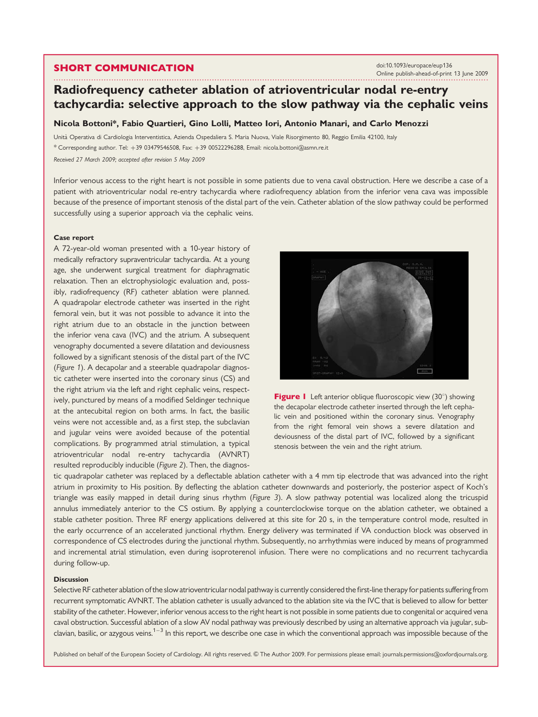## SHORT COMMUNICATION

............................................................................................................................... .............................................. doi:10.1093/europace/eup136 Online publish-ahead-of-print 13 June 2009

# Radiofrequency catheter ablation of atrioventricular nodal re-entry tachycardia: selective approach to the slow pathway via the cephalic veins

#### Nicola Bottoni\*, Fabio Quartieri, Gino Lolli, Matteo Iori, Antonio Manari, and Carlo Menozzi

Unita` Operativa di Cardiologia Interventistica, Azienda Ospedaliera S. Maria Nuova, Viale Risorgimento 80, Reggio Emilia 42100, Italy \* Corresponding author. Tel: þ39 03479546508, Fax: þ39 00522296288, Email: nicola.bottoni@asmn.re.it Received 27 March 2009; accepted after revision 5 May 2009

Inferior venous access to the right heart is not possible in some patients due to vena caval obstruction. Here we describe a case of a patient with atrioventricular nodal re-entry tachycardia where radiofrequency ablation from the inferior vena cava was impossible because of the presence of important stenosis of the distal part of the vein. Catheter ablation of the slow pathway could be performed successfully using a superior approach via the cephalic veins.

#### Case report

A 72-year-old woman presented with a 10-year history of medically refractory supraventricular tachycardia. At a young age, she underwent surgical treatment for diaphragmatic relaxation. Then an elctrophysiologic evaluation and, possibly, radiofrequency (RF) catheter ablation were planned. A quadrapolar electrode catheter was inserted in the right femoral vein, but it was not possible to advance it into the right atrium due to an obstacle in the junction between the inferior vena cava (IVC) and the atrium. A subsequent venography documented a severe dilatation and deviousness followed by a significant stenosis of the distal part of the IVC (Figure 1). A decapolar and a steerable quadrapolar diagnostic catheter were inserted into the coronary sinus (CS) and the right atrium via the left and right cephalic veins, respectively, punctured by means of a modified Seldinger technique at the antecubital region on both arms. In fact, the basilic veins were not accessible and, as a first step, the subclavian and jugular veins were avoided because of the potential complications. By programmed atrial stimulation, a typical atrioventricular nodal re-entry tachycardia (AVNRT) resulted reproducibly inducible (Figure 2). Then, the diagnos-





tic quadrapolar catheter was replaced by a deflectable ablation catheter with a 4 mm tip electrode that was advanced into the right atrium in proximity to His position. By deflecting the ablation catheter downwards and posteriorly, the posterior aspect of Koch's triangle was easily mapped in detail during sinus rhythm (Figure 3). A slow pathway potential was localized along the tricuspid annulus immediately anterior to the CS ostium. By applying a counterclockwise torque on the ablation catheter, we obtained a stable catheter position. Three RF energy applications delivered at this site for 20 s, in the temperature control mode, resulted in the early occurrence of an accelerated junctional rhythm. Energy delivery was terminated if VA conduction block was observed in correspondence of CS electrodes during the junctional rhythm. Subsequently, no arrhythmias were induced by means of programmed and incremental atrial stimulation, even during isoproterenol infusion. There were no complications and no recurrent tachycardia during follow-up.

## **Discussion**

Selective RF catheter ablation of the slow atrioventricular nodal pathway is currently considered the first-line therapy for patients suffering from recurrent symptomatic AVNRT. The ablation catheter is usually advanced to the ablation site via the IVC that is believed to allow for better stability of the catheter. However, inferior venous access to the right heart is not possible in some patients due to congenital or acquired vena caval obstruction. Successful ablation of a slow AV nodal pathway was previously described by using an alternative approach via jugular, subclavian, basilic, or azygous veins.<sup>1–3</sup> In this report, we describe one case in which the conventional approach was impossible because of the

Published on behalf of the European Society of Cardiology. All rights reserved. © The Author 2009. For permissions please email: journals.permissions@oxfordjournals.org.